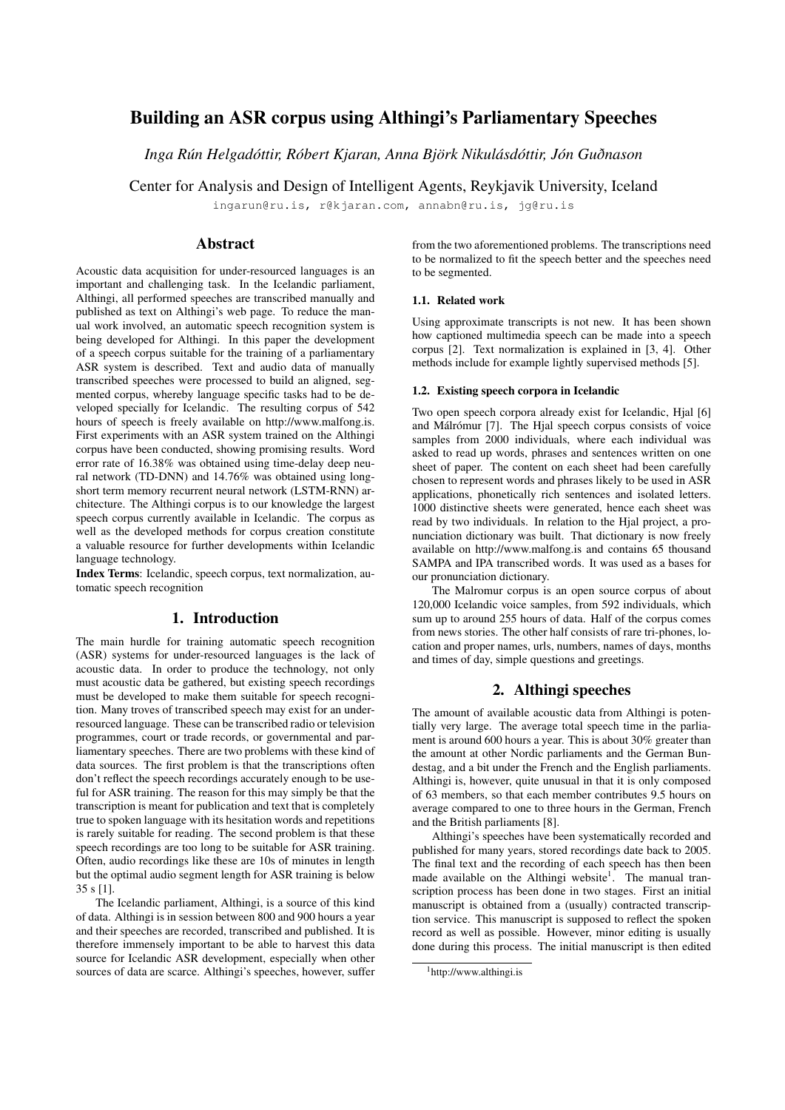# Building an ASR corpus using Althingi's Parliamentary Speeches

*Inga Rún Helgadóttir, Róbert Kjaran, Anna Björk Nikulásdóttir, Jón Guðnason*

Center for Analysis and Design of Intelligent Agents, Reykjavik University, Iceland

ingarun@ru.is, r@kjaran.com, annabn@ru.is, jg@ru.is

### Abstract

Acoustic data acquisition for under-resourced languages is an important and challenging task. In the Icelandic parliament, Althingi, all performed speeches are transcribed manually and published as text on Althingi's web page. To reduce the manual work involved, an automatic speech recognition system is being developed for Althingi. In this paper the development of a speech corpus suitable for the training of a parliamentary ASR system is described. Text and audio data of manually transcribed speeches were processed to build an aligned, segmented corpus, whereby language specific tasks had to be developed specially for Icelandic. The resulting corpus of 542 hours of speech is freely available on http://www.malfong.is. First experiments with an ASR system trained on the Althingi corpus have been conducted, showing promising results. Word error rate of 16.38% was obtained using time-delay deep neural network (TD-DNN) and 14.76% was obtained using longshort term memory recurrent neural network (LSTM-RNN) architecture. The Althingi corpus is to our knowledge the largest speech corpus currently available in Icelandic. The corpus as well as the developed methods for corpus creation constitute a valuable resource for further developments within Icelandic language technology.

Index Terms: Icelandic, speech corpus, text normalization, automatic speech recognition

### 1. Introduction

The main hurdle for training automatic speech recognition (ASR) systems for under-resourced languages is the lack of acoustic data. In order to produce the technology, not only must acoustic data be gathered, but existing speech recordings must be developed to make them suitable for speech recognition. Many troves of transcribed speech may exist for an underresourced language. These can be transcribed radio or television programmes, court or trade records, or governmental and parliamentary speeches. There are two problems with these kind of data sources. The first problem is that the transcriptions often don't reflect the speech recordings accurately enough to be useful for ASR training. The reason for this may simply be that the transcription is meant for publication and text that is completely true to spoken language with its hesitation words and repetitions is rarely suitable for reading. The second problem is that these speech recordings are too long to be suitable for ASR training. Often, audio recordings like these are 10s of minutes in length but the optimal audio segment length for ASR training is below 35 s [1].

The Icelandic parliament, Althingi, is a source of this kind of data. Althingi is in session between 800 and 900 hours a year and their speeches are recorded, transcribed and published. It is therefore immensely important to be able to harvest this data source for Icelandic ASR development, especially when other sources of data are scarce. Althingi's speeches, however, suffer

from the two aforementioned problems. The transcriptions need to be normalized to fit the speech better and the speeches need to be segmented.

#### 1.1. Related work

Using approximate transcripts is not new. It has been shown how captioned multimedia speech can be made into a speech corpus [2]. Text normalization is explained in [3, 4]. Other methods include for example lightly supervised methods [5].

#### 1.2. Existing speech corpora in Icelandic

Two open speech corpora already exist for Icelandic, Hjal [6] and Málrómur [7]. The Hjal speech corpus consists of voice samples from 2000 individuals, where each individual was asked to read up words, phrases and sentences written on one sheet of paper. The content on each sheet had been carefully chosen to represent words and phrases likely to be used in ASR applications, phonetically rich sentences and isolated letters. 1000 distinctive sheets were generated, hence each sheet was read by two individuals. In relation to the Hjal project, a pronunciation dictionary was built. That dictionary is now freely available on http://www.malfong.is and contains 65 thousand SAMPA and IPA transcribed words. It was used as a bases for our pronunciation dictionary.

The Malromur corpus is an open source corpus of about 120,000 Icelandic voice samples, from 592 individuals, which sum up to around 255 hours of data. Half of the corpus comes from news stories. The other half consists of rare tri-phones, location and proper names, urls, numbers, names of days, months and times of day, simple questions and greetings.

## 2. Althingi speeches

The amount of available acoustic data from Althingi is potentially very large. The average total speech time in the parliament is around 600 hours a year. This is about 30% greater than the amount at other Nordic parliaments and the German Bundestag, and a bit under the French and the English parliaments. Althingi is, however, quite unusual in that it is only composed of 63 members, so that each member contributes 9.5 hours on average compared to one to three hours in the German, French and the British parliaments [8].

Althingi's speeches have been systematically recorded and published for many years, stored recordings date back to 2005. The final text and the recording of each speech has then been made available on the Althingi website<sup>1</sup>. The manual transcription process has been done in two stages. First an initial manuscript is obtained from a (usually) contracted transcription service. This manuscript is supposed to reflect the spoken record as well as possible. However, minor editing is usually done during this process. The initial manuscript is then edited

<sup>1</sup>http://www.althingi.is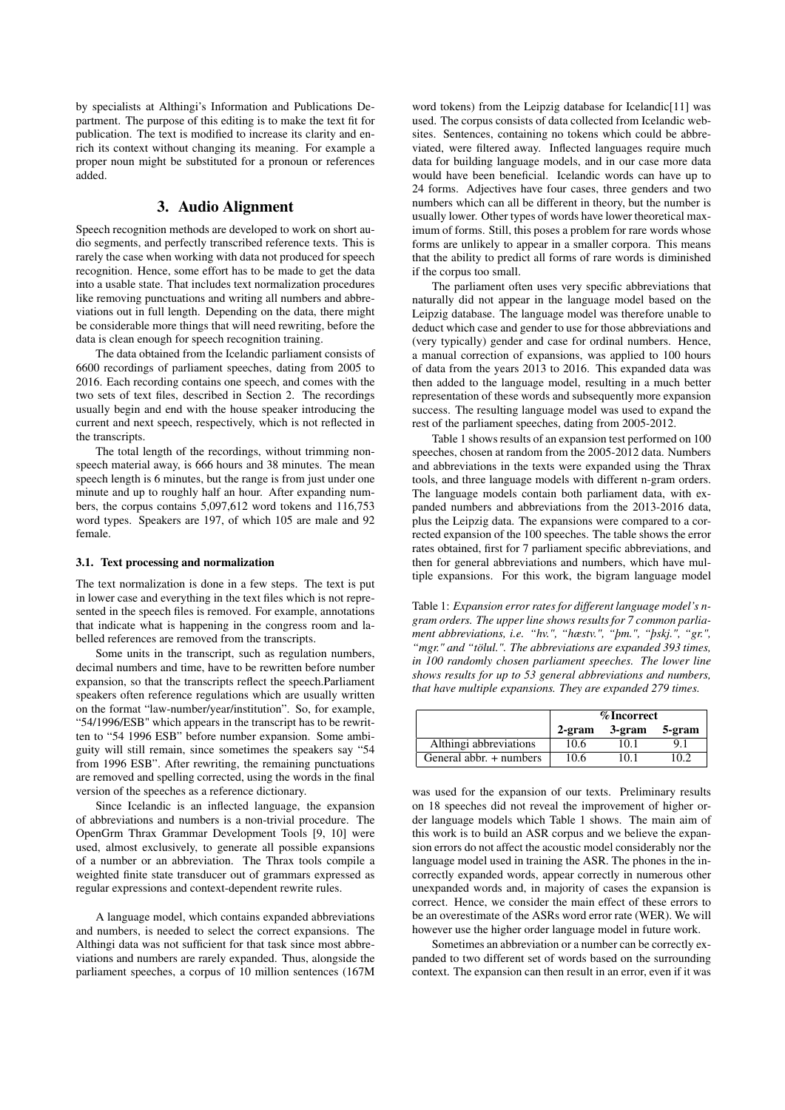by specialists at Althingi's Information and Publications Department. The purpose of this editing is to make the text fit for publication. The text is modified to increase its clarity and enrich its context without changing its meaning. For example a proper noun might be substituted for a pronoun or references added.

### 3. Audio Alignment

Speech recognition methods are developed to work on short audio segments, and perfectly transcribed reference texts. This is rarely the case when working with data not produced for speech recognition. Hence, some effort has to be made to get the data into a usable state. That includes text normalization procedures like removing punctuations and writing all numbers and abbreviations out in full length. Depending on the data, there might be considerable more things that will need rewriting, before the data is clean enough for speech recognition training.

The data obtained from the Icelandic parliament consists of 6600 recordings of parliament speeches, dating from 2005 to 2016. Each recording contains one speech, and comes with the two sets of text files, described in Section 2. The recordings usually begin and end with the house speaker introducing the current and next speech, respectively, which is not reflected in the transcripts.

The total length of the recordings, without trimming nonspeech material away, is 666 hours and 38 minutes. The mean speech length is 6 minutes, but the range is from just under one minute and up to roughly half an hour. After expanding numbers, the corpus contains 5,097,612 word tokens and 116,753 word types. Speakers are 197, of which 105 are male and 92 female.

#### 3.1. Text processing and normalization

The text normalization is done in a few steps. The text is put in lower case and everything in the text files which is not represented in the speech files is removed. For example, annotations that indicate what is happening in the congress room and labelled references are removed from the transcripts.

Some units in the transcript, such as regulation numbers, decimal numbers and time, have to be rewritten before number expansion, so that the transcripts reflect the speech.Parliament speakers often reference regulations which are usually written on the format "law-number/year/institution". So, for example, "54/1996/ESB" which appears in the transcript has to be rewritten to "54 1996 ESB" before number expansion. Some ambiguity will still remain, since sometimes the speakers say "54 from 1996 ESB". After rewriting, the remaining punctuations are removed and spelling corrected, using the words in the final version of the speeches as a reference dictionary.

Since Icelandic is an inflected language, the expansion of abbreviations and numbers is a non-trivial procedure. The OpenGrm Thrax Grammar Development Tools [9, 10] were used, almost exclusively, to generate all possible expansions of a number or an abbreviation. The Thrax tools compile a weighted finite state transducer out of grammars expressed as regular expressions and context-dependent rewrite rules.

A language model, which contains expanded abbreviations and numbers, is needed to select the correct expansions. The Althingi data was not sufficient for that task since most abbreviations and numbers are rarely expanded. Thus, alongside the parliament speeches, a corpus of 10 million sentences (167M

word tokens) from the Leipzig database for Icelandic[11] was used. The corpus consists of data collected from Icelandic websites. Sentences, containing no tokens which could be abbreviated, were filtered away. Inflected languages require much data for building language models, and in our case more data would have been beneficial. Icelandic words can have up to 24 forms. Adjectives have four cases, three genders and two numbers which can all be different in theory, but the number is usually lower. Other types of words have lower theoretical maximum of forms. Still, this poses a problem for rare words whose forms are unlikely to appear in a smaller corpora. This means that the ability to predict all forms of rare words is diminished if the corpus too small.

The parliament often uses very specific abbreviations that naturally did not appear in the language model based on the Leipzig database. The language model was therefore unable to deduct which case and gender to use for those abbreviations and (very typically) gender and case for ordinal numbers. Hence, a manual correction of expansions, was applied to 100 hours of data from the years 2013 to 2016. This expanded data was then added to the language model, resulting in a much better representation of these words and subsequently more expansion success. The resulting language model was used to expand the rest of the parliament speeches, dating from 2005-2012.

Table 1 shows results of an expansion test performed on 100 speeches, chosen at random from the 2005-2012 data. Numbers and abbreviations in the texts were expanded using the Thrax tools, and three language models with different n-gram orders. The language models contain both parliament data, with expanded numbers and abbreviations from the 2013-2016 data, plus the Leipzig data. The expansions were compared to a corrected expansion of the 100 speeches. The table shows the error rates obtained, first for 7 parliament specific abbreviations, and then for general abbreviations and numbers, which have multiple expansions. For this work, the bigram language model

Table 1: *Expansion error rates for different language model's ngram orders. The upper line shows results for 7 common parliament abbreviations, i.e. "hv.", "hæstv.", "þm.", "þskj.", "gr.", "mgr." and "tölul.". The abbreviations are expanded 393 times, in 100 randomly chosen parliament speeches. The lower line shows results for up to 53 general abbreviations and numbers, that have multiple expansions. They are expanded 279 times.*

|                         | % Incorrect |        |        |
|-------------------------|-------------|--------|--------|
|                         | $2$ -gram   | 3-gram | 5-gram |
| Althingi abbreviations  | 10.6        | 10.1   |        |
| General abbr. + numbers | 10.6        | 10 1   | 02     |

was used for the expansion of our texts. Preliminary results on 18 speeches did not reveal the improvement of higher order language models which Table 1 shows. The main aim of this work is to build an ASR corpus and we believe the expansion errors do not affect the acoustic model considerably nor the language model used in training the ASR. The phones in the incorrectly expanded words, appear correctly in numerous other unexpanded words and, in majority of cases the expansion is correct. Hence, we consider the main effect of these errors to be an overestimate of the ASRs word error rate (WER). We will however use the higher order language model in future work.

Sometimes an abbreviation or a number can be correctly expanded to two different set of words based on the surrounding context. The expansion can then result in an error, even if it was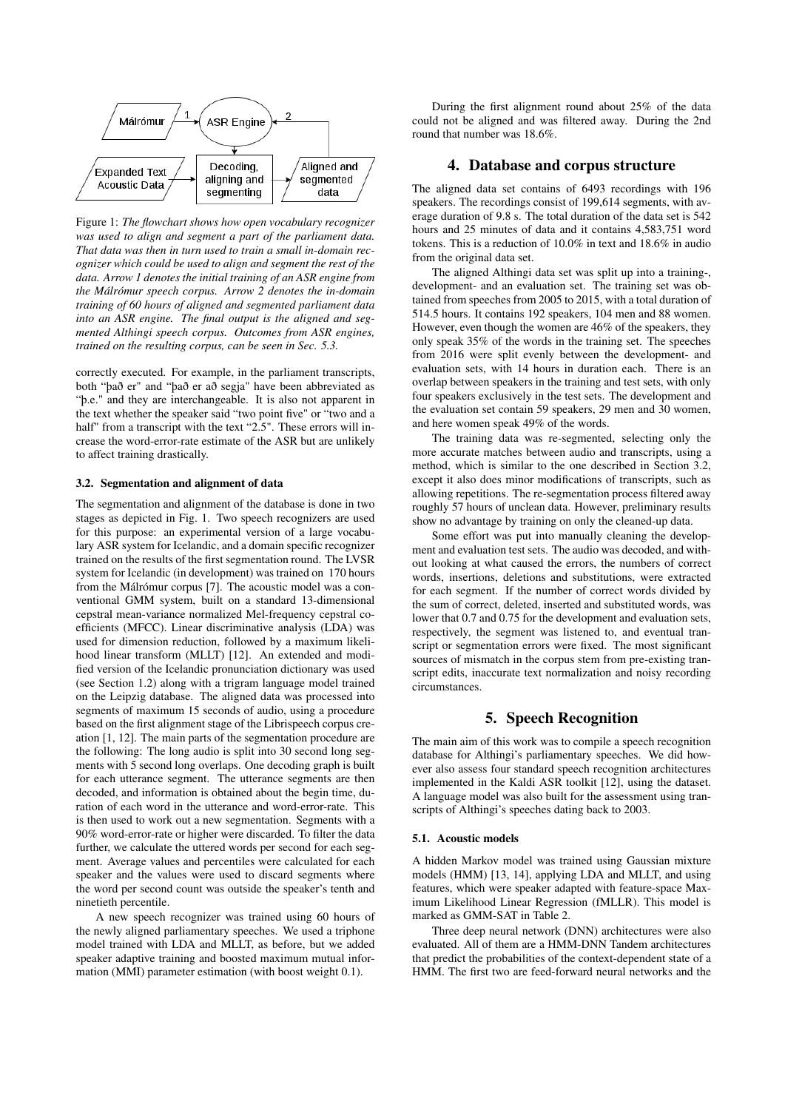

Figure 1: *The flowchart shows how open vocabulary recognizer was used to align and segment a part of the parliament data. That data was then in turn used to train a small in-domain recognizer which could be used to align and segment the rest of the data. Arrow 1 denotes the initial training of an ASR engine from the Málrómur speech corpus. Arrow 2 denotes the in-domain training of 60 hours of aligned and segmented parliament data into an ASR engine. The final output is the aligned and segmented Althingi speech corpus. Outcomes from ASR engines, trained on the resulting corpus, can be seen in Sec. 5.3.*

correctly executed. For example, in the parliament transcripts, both "það er" and "það er að segja" have been abbreviated as "þ.e." and they are interchangeable. It is also not apparent in the text whether the speaker said "two point five" or "two and a half" from a transcript with the text "2.5". These errors will increase the word-error-rate estimate of the ASR but are unlikely to affect training drastically.

#### 3.2. Segmentation and alignment of data

The segmentation and alignment of the database is done in two stages as depicted in Fig. 1. Two speech recognizers are used for this purpose: an experimental version of a large vocabulary ASR system for Icelandic, and a domain specific recognizer trained on the results of the first segmentation round. The LVSR system for Icelandic (in development) was trained on 170 hours from the Málrómur corpus [7]. The acoustic model was a conventional GMM system, built on a standard 13-dimensional cepstral mean-variance normalized Mel-frequency cepstral coefficients (MFCC). Linear discriminative analysis (LDA) was used for dimension reduction, followed by a maximum likelihood linear transform (MLLT) [12]. An extended and modified version of the Icelandic pronunciation dictionary was used (see Section 1.2) along with a trigram language model trained on the Leipzig database. The aligned data was processed into segments of maximum 15 seconds of audio, using a procedure based on the first alignment stage of the Librispeech corpus creation [1, 12]. The main parts of the segmentation procedure are the following: The long audio is split into 30 second long segments with 5 second long overlaps. One decoding graph is built for each utterance segment. The utterance segments are then decoded, and information is obtained about the begin time, duration of each word in the utterance and word-error-rate. This is then used to work out a new segmentation. Segments with a 90% word-error-rate or higher were discarded. To filter the data further, we calculate the uttered words per second for each segment. Average values and percentiles were calculated for each speaker and the values were used to discard segments where the word per second count was outside the speaker's tenth and ninetieth percentile.

A new speech recognizer was trained using 60 hours of the newly aligned parliamentary speeches. We used a triphone model trained with LDA and MLLT, as before, but we added speaker adaptive training and boosted maximum mutual information (MMI) parameter estimation (with boost weight 0.1).

During the first alignment round about 25% of the data could not be aligned and was filtered away. During the 2nd round that number was 18.6%.

### 4. Database and corpus structure

The aligned data set contains of 6493 recordings with 196 speakers. The recordings consist of 199,614 segments, with average duration of 9.8 s. The total duration of the data set is 542 hours and 25 minutes of data and it contains 4,583,751 word tokens. This is a reduction of 10.0% in text and 18.6% in audio from the original data set.

The aligned Althingi data set was split up into a training-, development- and an evaluation set. The training set was obtained from speeches from 2005 to 2015, with a total duration of 514.5 hours. It contains 192 speakers, 104 men and 88 women. However, even though the women are 46% of the speakers, they only speak 35% of the words in the training set. The speeches from 2016 were split evenly between the development- and evaluation sets, with 14 hours in duration each. There is an overlap between speakers in the training and test sets, with only four speakers exclusively in the test sets. The development and the evaluation set contain 59 speakers, 29 men and 30 women, and here women speak 49% of the words.

The training data was re-segmented, selecting only the more accurate matches between audio and transcripts, using a method, which is similar to the one described in Section 3.2, except it also does minor modifications of transcripts, such as allowing repetitions. The re-segmentation process filtered away roughly 57 hours of unclean data. However, preliminary results show no advantage by training on only the cleaned-up data.

Some effort was put into manually cleaning the development and evaluation test sets. The audio was decoded, and without looking at what caused the errors, the numbers of correct words, insertions, deletions and substitutions, were extracted for each segment. If the number of correct words divided by the sum of correct, deleted, inserted and substituted words, was lower that 0.7 and 0.75 for the development and evaluation sets, respectively, the segment was listened to, and eventual transcript or segmentation errors were fixed. The most significant sources of mismatch in the corpus stem from pre-existing transcript edits, inaccurate text normalization and noisy recording circumstances.

### 5. Speech Recognition

The main aim of this work was to compile a speech recognition database for Althingi's parliamentary speeches. We did however also assess four standard speech recognition architectures implemented in the Kaldi ASR toolkit [12], using the dataset. A language model was also built for the assessment using transcripts of Althingi's speeches dating back to 2003.

#### 5.1. Acoustic models

A hidden Markov model was trained using Gaussian mixture models (HMM) [13, 14], applying LDA and MLLT, and using features, which were speaker adapted with feature-space Maximum Likelihood Linear Regression (fMLLR). This model is marked as GMM-SAT in Table 2.

Three deep neural network (DNN) architectures were also evaluated. All of them are a HMM-DNN Tandem architectures that predict the probabilities of the context-dependent state of a HMM. The first two are feed-forward neural networks and the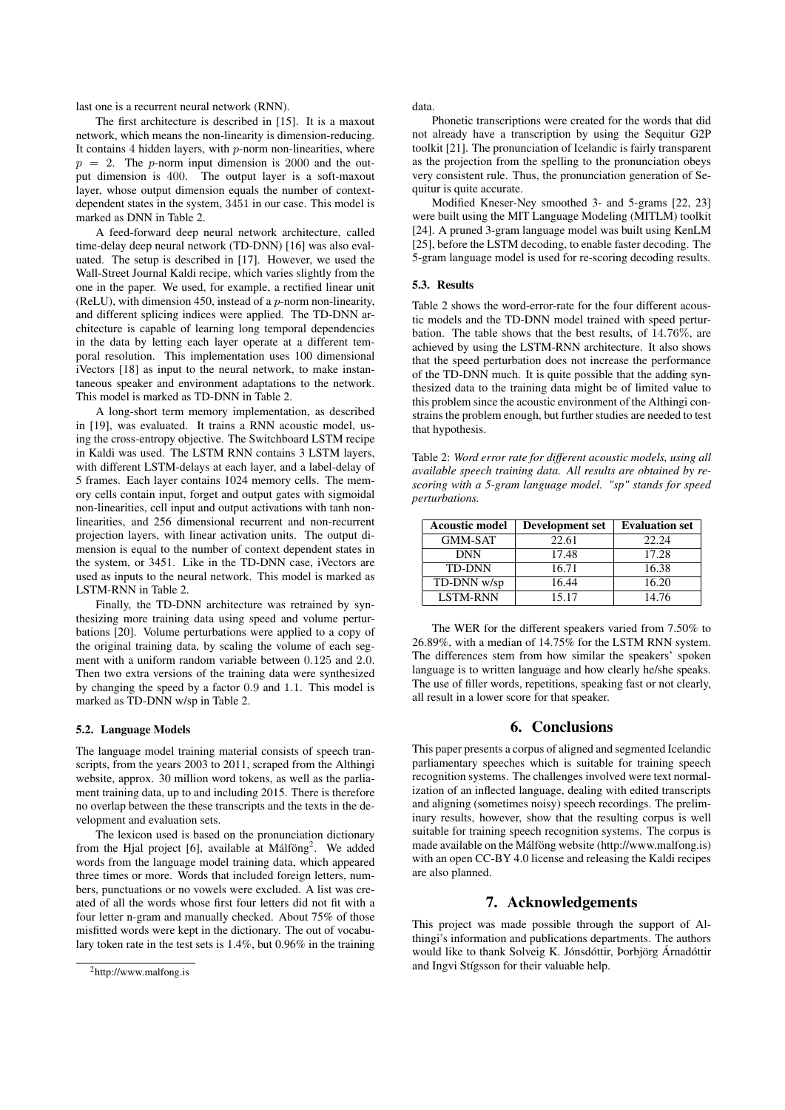last one is a recurrent neural network (RNN).

The first architecture is described in [15]. It is a maxout network, which means the non-linearity is dimension-reducing. It contains  $4$  hidden layers, with  $p$ -norm non-linearities, where  $p = 2$ . The p-norm input dimension is 2000 and the output dimension is 400. The output layer is a soft-maxout layer, whose output dimension equals the number of contextdependent states in the system, 3451 in our case. This model is marked as DNN in Table 2.

A feed-forward deep neural network architecture, called time-delay deep neural network (TD-DNN) [16] was also evaluated. The setup is described in [17]. However, we used the Wall-Street Journal Kaldi recipe, which varies slightly from the one in the paper. We used, for example, a rectified linear unit (ReLU), with dimension 450, instead of a  $p$ -norm non-linearity, and different splicing indices were applied. The TD-DNN architecture is capable of learning long temporal dependencies in the data by letting each layer operate at a different temporal resolution. This implementation uses 100 dimensional iVectors [18] as input to the neural network, to make instantaneous speaker and environment adaptations to the network. This model is marked as TD-DNN in Table 2.

A long-short term memory implementation, as described in [19], was evaluated. It trains a RNN acoustic model, using the cross-entropy objective. The Switchboard LSTM recipe in Kaldi was used. The LSTM RNN contains 3 LSTM layers, with different LSTM-delays at each layer, and a label-delay of 5 frames. Each layer contains 1024 memory cells. The memory cells contain input, forget and output gates with sigmoidal non-linearities, cell input and output activations with tanh nonlinearities, and 256 dimensional recurrent and non-recurrent projection layers, with linear activation units. The output dimension is equal to the number of context dependent states in the system, or 3451. Like in the TD-DNN case, iVectors are used as inputs to the neural network. This model is marked as LSTM-RNN in Table 2.

Finally, the TD-DNN architecture was retrained by synthesizing more training data using speed and volume perturbations [20]. Volume perturbations were applied to a copy of the original training data, by scaling the volume of each segment with a uniform random variable between 0.125 and 2.0. Then two extra versions of the training data were synthesized by changing the speed by a factor 0.9 and 1.1. This model is marked as TD-DNN w/sp in Table 2.

#### 5.2. Language Models

The language model training material consists of speech transcripts, from the years 2003 to 2011, scraped from the Althingi website, approx. 30 million word tokens, as well as the parliament training data, up to and including 2015. There is therefore no overlap between the these transcripts and the texts in the development and evaluation sets.

The lexicon used is based on the pronunciation dictionary from the Hjal project [6], available at Málföng<sup>2</sup>. We added words from the language model training data, which appeared three times or more. Words that included foreign letters, numbers, punctuations or no vowels were excluded. A list was created of all the words whose first four letters did not fit with a four letter n-gram and manually checked. About 75% of those misfitted words were kept in the dictionary. The out of vocabulary token rate in the test sets is 1.4%, but 0.96% in the training data.

Phonetic transcriptions were created for the words that did not already have a transcription by using the Sequitur G2P toolkit [21]. The pronunciation of Icelandic is fairly transparent as the projection from the spelling to the pronunciation obeys very consistent rule. Thus, the pronunciation generation of Sequitur is quite accurate.

Modified Kneser-Ney smoothed 3- and 5-grams [22, 23] were built using the MIT Language Modeling (MITLM) toolkit [24]. A pruned 3-gram language model was built using KenLM [25], before the LSTM decoding, to enable faster decoding. The 5-gram language model is used for re-scoring decoding results.

#### 5.3. Results

Table 2 shows the word-error-rate for the four different acoustic models and the TD-DNN model trained with speed perturbation. The table shows that the best results, of 14.76%, are achieved by using the LSTM-RNN architecture. It also shows that the speed perturbation does not increase the performance of the TD-DNN much. It is quite possible that the adding synthesized data to the training data might be of limited value to this problem since the acoustic environment of the Althingi constrains the problem enough, but further studies are needed to test that hypothesis.

Table 2: *Word error rate for different acoustic models, using all available speech training data. All results are obtained by rescoring with a 5-gram language model. "sp" stands for speed perturbations.*

| <b>Acoustic model</b> | Development set | <b>Evaluation set</b> |
|-----------------------|-----------------|-----------------------|
| <b>GMM-SAT</b>        | 22.61           | 22.24                 |
| <b>DNN</b>            | 17.48           | 17.28                 |
| <b>TD-DNN</b>         | 16.71           | 16.38                 |
| TD-DNN w/sp           | 16.44           | 16.20                 |
| <b>LSTM-RNN</b>       | 15.17           | 14.76                 |

The WER for the different speakers varied from 7.50% to 26.89%, with a median of 14.75% for the LSTM RNN system. The differences stem from how similar the speakers' spoken language is to written language and how clearly he/she speaks. The use of filler words, repetitions, speaking fast or not clearly, all result in a lower score for that speaker.

#### 6. Conclusions

This paper presents a corpus of aligned and segmented Icelandic parliamentary speeches which is suitable for training speech recognition systems. The challenges involved were text normalization of an inflected language, dealing with edited transcripts and aligning (sometimes noisy) speech recordings. The preliminary results, however, show that the resulting corpus is well suitable for training speech recognition systems. The corpus is made available on the Málföng website (http://www.malfong.is) with an open CC-BY 4.0 license and releasing the Kaldi recipes are also planned.

### 7. Acknowledgements

This project was made possible through the support of Althingi's information and publications departments. The authors would like to thank Solveig K. Jónsdóttir, Þorbjörg Árnadóttir and Ingvi Stígsson for their valuable help.

<sup>2</sup>http://www.malfong.is